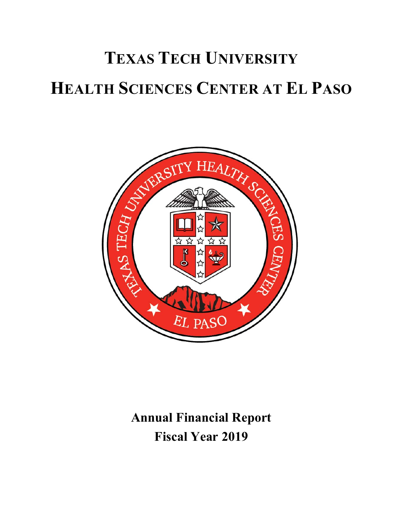

**Annual Financial Report Fiscal Year 2019**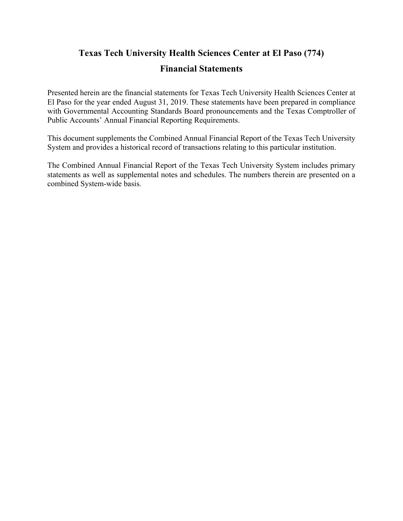## **Texas Tech University Health Sciences Center at El Paso (774)**

#### **Financial Statements**

Presented herein are the financial statements for Texas Tech University Health Sciences Center at El Paso for the year ended August 31, 2019. These statements have been prepared in compliance with Governmental Accounting Standards Board pronouncements and the Texas Comptroller of Public Accounts' Annual Financial Reporting Requirements.

This document supplements the Combined Annual Financial Report of the Texas Tech University System and provides a historical record of transactions relating to this particular institution.

The Combined Annual Financial Report of the Texas Tech University System includes primary statements as well as supplemental notes and schedules. The numbers therein are presented on a combined System‐wide basis.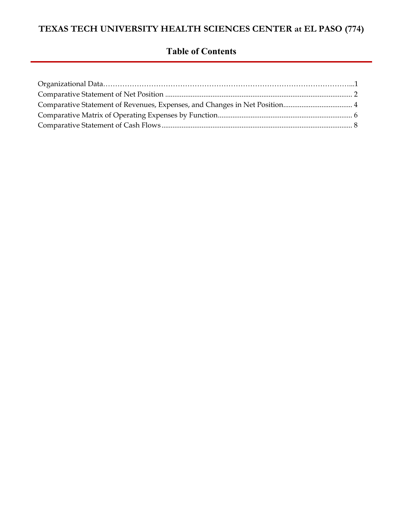## **Table of Contents**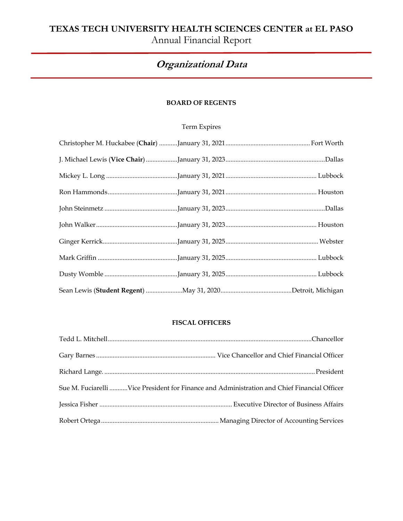Annual Financial Report

## **Organizational Data**

#### **BOARD OF REGENTS**

#### Term Expires

#### **FISCAL OFFICERS**

| Sue M. Fuciarelli Vice President for Finance and Administration and Chief Financial Officer |
|---------------------------------------------------------------------------------------------|
|                                                                                             |
|                                                                                             |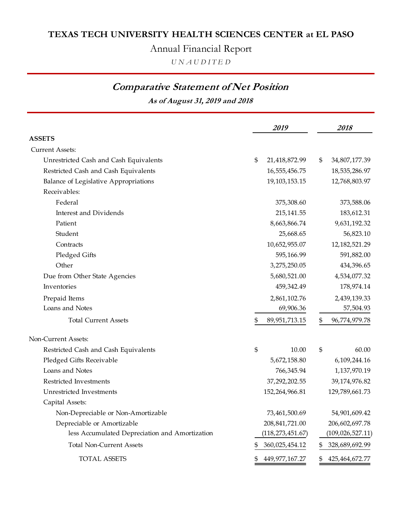Annual Financial Report

*U N A U D I T E D*

## **Comparative Statement of Net Position**

**As of August 31, 2019 and 2018**

|                                                | 2019                 |     | 2018               |
|------------------------------------------------|----------------------|-----|--------------------|
| <b>ASSETS</b>                                  |                      |     |                    |
| <b>Current Assets:</b>                         |                      |     |                    |
| Unrestricted Cash and Cash Equivalents         | \$<br>21,418,872.99  | \$  | 34,807,177.39      |
| Restricted Cash and Cash Equivalents           | 16,555,456.75        |     | 18,535,286.97      |
| Balance of Legislative Appropriations          | 19,103,153.15        |     | 12,768,803.97      |
| Receivables:                                   |                      |     |                    |
| Federal                                        | 375,308.60           |     | 373,588.06         |
| <b>Interest and Dividends</b>                  | 215,141.55           |     | 183,612.31         |
| Patient                                        | 8,663,866.74         |     | 9,631,192.32       |
| Student                                        | 25,668.65            |     | 56,823.10          |
| Contracts                                      | 10,652,955.07        |     | 12, 182, 521. 29   |
| Pledged Gifts                                  | 595,166.99           |     | 591,882.00         |
| Other                                          | 3,275,250.05         |     | 434,396.65         |
| Due from Other State Agencies                  | 5,680,521.00         |     | 4,534,077.32       |
| Inventories                                    | 459,342.49           |     | 178,974.14         |
| Prepaid Items                                  | 2,861,102.76         |     | 2,439,139.33       |
| Loans and Notes                                | 69,906.36            |     | 57,504.93          |
| <b>Total Current Assets</b>                    | \$<br>89,951,713.15  | \$  | 96,774,979.78      |
| Non-Current Assets:                            |                      |     |                    |
| Restricted Cash and Cash Equivalents           | \$<br>10.00          | \$  | 60.00              |
| Pledged Gifts Receivable                       | 5,672,158.80         |     | 6,109,244.16       |
| Loans and Notes                                | 766,345.94           |     | 1,137,970.19       |
| Restricted Investments                         | 37,292,202.55        |     | 39,174,976.82      |
| Unrestricted Investments                       | 152,264,966.81       |     | 129,789,661.73     |
| Capital Assets:                                |                      |     |                    |
| Non-Depreciable or Non-Amortizable             | 73,461,500.69        |     | 54,901,609.42      |
| Depreciable or Amortizable                     | 208, 841, 721.00     |     | 206,602,697.78     |
| less Accumulated Depreciation and Amortization | (118, 273, 451.67)   |     | (109, 026, 527.11) |
| <b>Total Non-Current Assets</b>                | \$<br>360,025,454.12 | SS. | 328,689,692.99     |
| <b>TOTAL ASSETS</b>                            | 449,977,167.27       |     | 425, 464, 672. 77  |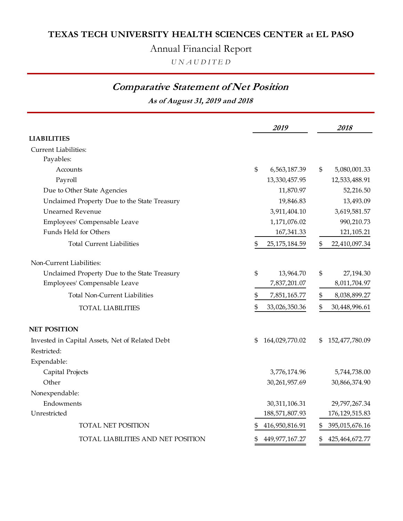Annual Financial Report

*U N A U D I T E D*

## **Comparative Statement of Net Position**

**As of August 31, 2019 and 2018**

|                                                 | 2019                    | 2018                    |
|-------------------------------------------------|-------------------------|-------------------------|
| <b>LIABILITIES</b>                              |                         |                         |
| <b>Current Liabilities:</b>                     |                         |                         |
| Payables:                                       |                         |                         |
| Accounts                                        | \$<br>6,563,187.39      | \$<br>5,080,001.33      |
| Payroll                                         | 13,330,457.95           | 12,533,488.91           |
| Due to Other State Agencies                     | 11,870.97               | 52,216.50               |
| Unclaimed Property Due to the State Treasury    | 19,846.83               | 13,493.09               |
| <b>Unearned Revenue</b>                         | 3,911,404.10            | 3,619,581.57            |
| Employees' Compensable Leave                    | 1,171,076.02            | 990,210.73              |
| Funds Held for Others                           | 167,341.33              | 121,105.21              |
| <b>Total Current Liabilities</b>                | \$<br>25, 175, 184. 59  | \$<br>22,410,097.34     |
| Non-Current Liabilities:                        |                         |                         |
| Unclaimed Property Due to the State Treasury    | \$<br>13,964.70         | \$<br>27,194.30         |
| Employees' Compensable Leave                    | 7,837,201.07            | 8,011,704.97            |
| <b>Total Non-Current Liabilities</b>            | \$<br>7,851,165.77      | \$<br>8,038,899.27      |
| <b>TOTAL LIABILITIES</b>                        | \$<br>33,026,350.36     | \$<br>30,448,996.61     |
| <b>NET POSITION</b>                             |                         |                         |
| Invested in Capital Assets, Net of Related Debt | \$<br>164,029,770.02    | 152,477,780.09<br>\$    |
| Restricted:                                     |                         |                         |
| Expendable:                                     |                         |                         |
| Capital Projects                                | 3,776,174.96            | 5,744,738.00            |
| Other                                           | 30,261,957.69           | 30,866,374.90           |
| Nonexpendable:                                  |                         |                         |
| Endowments                                      | 30,311,106.31           | 29,797,267.34           |
| Unrestricted                                    | 188,571,807.93          | 176, 129, 515.83        |
| <b>TOTAL NET POSITION</b>                       | 416,950,816.91          | 395,015,676.16          |
| TOTAL LIABILITIES AND NET POSITION              | 449, 977, 167. 27<br>\$ | \$<br>425, 464, 672. 77 |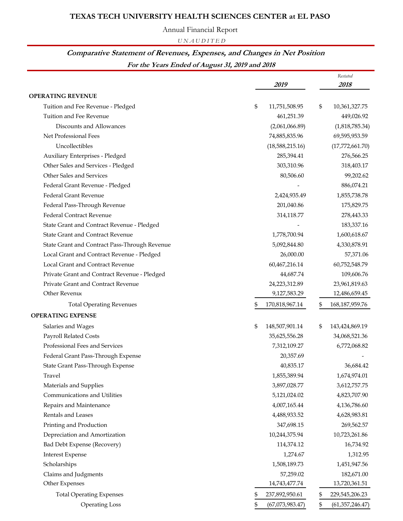Annual Financial Report

*U N A U D I T E D*

## **Comparative Statement of Revenues, Expenses, and Changes in Net Position**

**For the Years Ended of August 31, 2019 and 2018**

|                                               |                       | Restated                |
|-----------------------------------------------|-----------------------|-------------------------|
|                                               | 2019                  | 2018                    |
| <b>OPERATING REVENUE</b>                      |                       |                         |
| Tuition and Fee Revenue - Pledged             | \$<br>11,751,508.95   | \$<br>10,361,327.75     |
| Tuition and Fee Revenue                       | 461,251.39            | 449,026.92              |
| Discounts and Allowances                      | (2,061,066.89)        | (1,818,785.34)          |
| Net Professional Fees                         | 74,885,835.96         | 69,595,953.59           |
| Uncollectibles                                | (18,588,215.16)       | (17,772,661.70)         |
| Auxiliary Enterprises - Pledged               | 285,394.41            | 276,566.25              |
| Other Sales and Services - Pledged            | 303,310.96            | 318,403.17              |
| Other Sales and Services                      | 80,506.60             | 99,202.62               |
| Federal Grant Revenue - Pledged               |                       | 886,074.21              |
| <b>Federal Grant Revenue</b>                  | 2,424,935.49          | 1,855,738.78            |
| Federal Pass-Through Revenue                  | 201,040.86            | 175,829.75              |
| <b>Federal Contract Revenue</b>               | 314,118.77            | 278,443.33              |
| State Grant and Contract Revenue - Pledged    |                       | 183,337.16              |
| <b>State Grant and Contract Revenue</b>       | 1,778,700.94          | 1,600,618.67            |
| State Grant and Contract Pass-Through Revenue | 5,092,844.80          | 4,330,878.91            |
| Local Grant and Contract Revenue - Pledged    | 26,000.00             | 57,371.06               |
| Local Grant and Contract Revenue              | 60,467,216.14         | 60,752,548.79           |
| Private Grant and Contract Revenue - Pledged  | 44,687.74             | 109,606.76              |
| Private Grant and Contract Revenue            | 24,223,312.89         | 23,961,819.63           |
| Other Revenue                                 | 9,127,583.29          | 12,486,659.45           |
| <b>Total Operating Revenues</b>               | \$<br>170,818,967.14  | \$<br>168, 187, 959. 76 |
| <b>OPERATING EXPENSE</b>                      |                       |                         |
| Salaries and Wages                            | \$<br>148,507,901.14  | \$<br>143,424,869.19    |
| Payroll Related Costs                         | 35,625,556.28         | 34,068,521.36           |
| Professional Fees and Services                | 7,312,109.27          | 6,772,068.82            |
| Federal Grant Pass-Through Expense            | 20,357.69             |                         |
| State Grant Pass-Through Expense              | 40,835.17             | 36,684.42               |
| Travel                                        | 1,855,389.94          | 1,674,974.01            |
| Materials and Supplies                        | 3,897,028.77          | 3,612,757.75            |
| Communications and Utilities                  | 5,121,024.02          | 4,823,707.90            |
| Repairs and Maintenance                       | 4,007,165.44          | 4,136,786.60            |
| Rentals and Leases                            | 4,488,933.52          | 4,628,983.81            |
| Printing and Production                       | 347,698.15            | 269,562.57              |
| Depreciation and Amortization                 | 10,244,375.94         | 10,723,261.86           |
| Bad Debt Expense (Recovery)                   | 114,374.12            | 16,734.92               |
| <b>Interest Expense</b>                       | 1,274.67              | 1,312.95                |
| Scholarships                                  | 1,508,189.73          | 1,451,947.56            |
| Claims and Judgments                          | 57,259.02             | 182,671.00              |
| Other Expenses                                | 14,743,477.74         | 13,720,361.51           |
| <b>Total Operating Expenses</b>               | 237,892,950.61<br>\$  | \$<br>229,545,206.23    |
| <b>Operating Loss</b>                         | (67,073,983.47)<br>\$ | \$<br>(61, 357, 246.47) |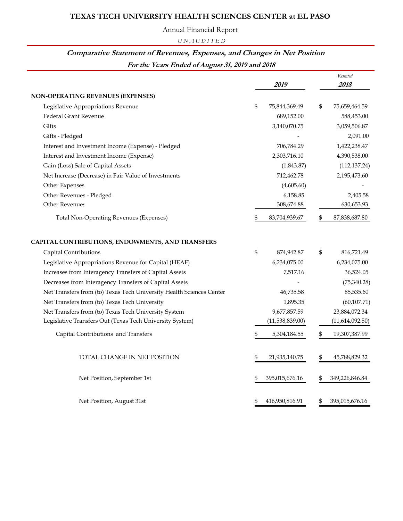Annual Financial Report

*U N A U D I T E D*

#### **Comparative Statement of Revenues, Expenses, and Changes in Net Position**

**For the Years Ended of August 31, 2019 and 2018**

|                                                                      | 2019                 | Restated<br>2018     |
|----------------------------------------------------------------------|----------------------|----------------------|
| <b>NON-OPERATING REVENUES (EXPENSES)</b>                             |                      |                      |
| Legislative Appropriations Revenue                                   | \$<br>75,844,369.49  | \$<br>75,659,464.59  |
| <b>Federal Grant Revenue</b>                                         | 689,152.00           | 588,453.00           |
| Gifts                                                                | 3,140,070.75         | 3,059,506.87         |
| Gifts - Pledged                                                      |                      | 2,091.00             |
| Interest and Investment Income (Expense) - Pledged                   | 706,784.29           | 1,422,238.47         |
| Interest and Investment Income (Expense)                             | 2,303,716.10         | 4,390,538.00         |
| Gain (Loss) Sale of Capital Assets                                   | (1,843.87)           | (112, 137.24)        |
| Net Increase (Decrease) in Fair Value of Investments                 | 712,462.78           | 2,195,473.60         |
| Other Expenses                                                       | (4,605.60)           |                      |
| Other Revenues - Pledged                                             | 6,158.85             | 2,405.58             |
| Other Revenues                                                       | 308,674.88           | 630,653.93           |
| <b>Total Non-Operating Revenues (Expenses)</b>                       | \$<br>83,704,939.67  | \$<br>87,838,687.80  |
| CAPITAL CONTRIBUTIONS, ENDOWMENTS, AND TRANSFERS                     |                      |                      |
| Capital Contributions                                                | \$<br>874,942.87     | \$<br>816,721.49     |
| Legislative Appropriations Revenue for Capital (HEAF)                | 6,234,075.00         | 6,234,075.00         |
| Increases from Interagency Transfers of Capital Assets               | 7,517.16             | 36,524.05            |
| Decreases from Interagency Transfers of Capital Assets               |                      | (75, 340.28)         |
| Net Transfers from (to) Texas Tech University Health Sciences Center | 46,735.58            | 85,535.60            |
| Net Transfers from (to) Texas Tech University                        | 1,895.35             | (60, 107.71)         |
| Net Transfers from (to) Texas Tech University System                 | 9,677,857.59         | 23,884,072.34        |
| Legislative Transfers Out (Texas Tech University System)             | (11,538,839.00)      | (11,614,092.50)      |
| Capital Contributions and Transfers                                  | \$<br>5,304,184.55   | \$<br>19,307,387.99  |
| TOTAL CHANGE IN NET POSITION                                         | \$<br>21,935,140.75  | \$<br>45,788,829.32  |
| Net Position, September 1st                                          | \$<br>395,015,676.16 | \$<br>349,226,846.84 |
| Net Position, August 31st                                            | \$<br>416,950,816.91 | \$<br>395,015,676.16 |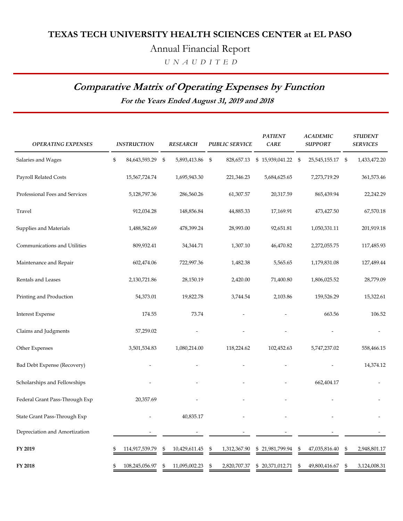Annual Financial Report

 *U N A U D I T E D*

## **Comparative Matrix of Operating Expenses by Function**

**For the Years Ended August 31, 2019 and 2018**

| <b>OPERATING EXPENSES</b>          | <b>INSTRUCTION</b>   | <b>RESEARCH</b>     | <b>PUBLIC SERVICE</b>        | <b>PATIENT</b><br>CARE | <b>ACADEMIC</b><br><b>SUPPORT</b> | <b>STUDENT</b><br><b>SERVICES</b> |
|------------------------------------|----------------------|---------------------|------------------------------|------------------------|-----------------------------------|-----------------------------------|
| Salaries and Wages                 | \$<br>84,643,593.29  | \$<br>5,893,413.86  | $\mathfrak{s}$<br>828,657.13 | \$15,939,041.22 \$     | 25,545,155.17                     | 1,433,472.20<br>- \$              |
| Payroll Related Costs              | 15,567,724.74        | 1,695,943.30        | 221,346.23                   | 5,684,625.65           | 7,273,719.29                      | 361,573.46                        |
| Professional Fees and Services     | 5,128,797.36         | 286,560.26          | 61,307.57                    | 20,317.59              | 865,439.94                        | 22,242.29                         |
| Travel                             | 912,034.28           | 148,856.84          | 44,885.33                    | 17,169.91              | 473,427.50                        | 67,570.18                         |
| Supplies and Materials             | 1,488,562.69         | 478,399.24          | 28,993.00                    | 92,651.81              | 1,050,331.11                      | 201,919.18                        |
| Communications and Utilities       | 809,932.41           | 34,344.71           | 1,307.10                     | 46,470.82              | 2,272,055.75                      | 117,485.93                        |
| Maintenance and Repair             | 602,474.06           | 722,997.36          | 1,482.38                     | 5,565.65               | 1,179,831.08                      | 127,489.44                        |
| Rentals and Leases                 | 2,130,721.86         | 28,150.19           | 2,420.00                     | 71,400.80              | 1,806,025.52                      | 28,779.09                         |
| Printing and Production            | 54,373.01            | 19,822.78           | 3,744.54                     | 2,103.86               | 159,526.29                        | 15,322.61                         |
| <b>Interest Expense</b>            | 174.55               | 73.74               |                              |                        | 663.56                            | 106.52                            |
| Claims and Judgments               | 57,259.02            |                     |                              |                        |                                   |                                   |
| Other Expenses                     | 3,501,534.83         | 1,080,214.00        | 118,224.62                   | 102,452.63             | 5,747,237.02                      | 558,466.15                        |
| <b>Bad Debt Expense (Recovery)</b> |                      |                     |                              |                        |                                   | 14,374.12                         |
| Scholarships and Fellowships       |                      |                     |                              |                        | 662,404.17                        |                                   |
| Federal Grant Pass-Through Exp     | 20,357.69            |                     |                              |                        |                                   |                                   |
| State Grant Pass-Through Exp       |                      | 40,835.17           |                              |                        |                                   |                                   |
| Depreciation and Amortization      |                      |                     |                              |                        |                                   |                                   |
| FY 2019                            | 114,917,539.79       | 10,429,611.45<br>\$ | \$<br>1,312,367.90           | \$21,981,799.94        | \$<br>47,035,816.40               | 2,948,801.17<br>\$                |
| FY 2018                            | \$<br>108,245,056.97 | 11,095,002.23<br>\$ | 2,820,707.37<br>\$           | \$20,371,012.71        | \$<br>49,800,416.67               | 3,124,008.31<br>\$                |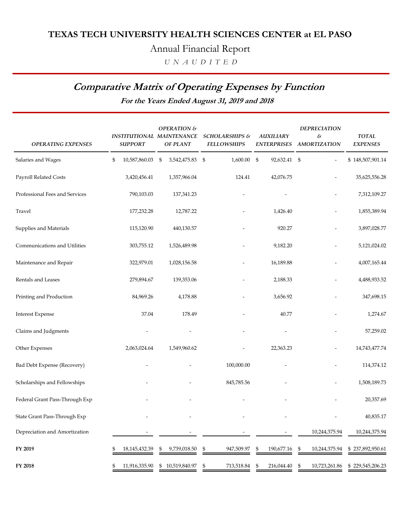Annual Financial Report

 *U N A U D I T E D*

## **Comparative Matrix of Operating Expenses by Function**

**For the Years Ended August 31, 2019 and 2018**

| <b>OPERATING EXPENSES</b>      | <b>INSTITUTIONAL MAINTENANCE</b><br><b>SUPPORT</b> | OPERATION &<br>OF PLANT | SCHOLARSHIPS &<br><b>FELLOWSHIPS</b> | <b>AUXILIARY</b><br><b>ENTERPRISES</b> | <b>DEPRECIATION</b><br>$\mathcal{E}% _{0}$<br><b>AMORTIZATION</b> | <b>TOTAL</b><br><b>EXPENSES</b> |
|--------------------------------|----------------------------------------------------|-------------------------|--------------------------------------|----------------------------------------|-------------------------------------------------------------------|---------------------------------|
| Salaries and Wages             | \$<br>10,587,860.03                                | \$<br>3,542,475.83      | \$<br>1,600.00                       | \$<br>92,632.41 \$                     |                                                                   | \$148,507,901.14                |
| Payroll Related Costs          | 3,420,456.41                                       | 1,357,966.04            | 124.41                               | 42,076.75                              |                                                                   | 35,625,556.28                   |
| Professional Fees and Services | 790,103.03                                         | 137,341.23              |                                      |                                        | $\overline{\phantom{a}}$                                          | 7,312,109.27                    |
| Travel                         | 177,232.28                                         | 12,787.22               |                                      | 1,426.40                               |                                                                   | 1,855,389.94                    |
| Supplies and Materials         | 115,120.90                                         | 440,130.57              |                                      | 920.27                                 |                                                                   | 3,897,028.77                    |
| Communications and Utilities   | 303,755.12                                         | 1,526,489.98            |                                      | 9,182.20                               |                                                                   | 5,121,024.02                    |
| Maintenance and Repair         | 322,979.01                                         | 1,028,156.58            |                                      | 16,189.88                              |                                                                   | 4,007,165.44                    |
| Rentals and Leases             | 279,894.67                                         | 139,353.06              |                                      | 2,188.33                               |                                                                   | 4,488,933.52                    |
| Printing and Production        | 84,969.26                                          | 4,178.88                |                                      | 3,656.92                               |                                                                   | 347,698.15                      |
| <b>Interest Expense</b>        | 37.04                                              | 178.49                  |                                      | 40.77                                  |                                                                   | 1,274.67                        |
| Claims and Judgments           |                                                    |                         |                                      |                                        |                                                                   | 57,259.02                       |
| Other Expenses                 | 2,063,024.64                                       | 1,549,960.62            |                                      | 22,363.23                              |                                                                   | 14,743,477.74                   |
| Bad Debt Expense (Recovery)    |                                                    |                         | 100,000.00                           |                                        |                                                                   | 114,374.12                      |
| Scholarships and Fellowships   |                                                    |                         | 845,785.56                           |                                        |                                                                   | 1,508,189.73                    |
| Federal Grant Pass-Through Exp |                                                    |                         |                                      |                                        |                                                                   | 20,357.69                       |
| State Grant Pass-Through Exp   |                                                    |                         |                                      |                                        |                                                                   | 40,835.17                       |
| Depreciation and Amortization  |                                                    |                         |                                      |                                        | 10,244,375.94                                                     | 10,244,375.94                   |
| FY 2019                        | 18, 145, 432. 39                                   | 9,739,018.50<br>\$      | \$<br>947,509.97                     | \$<br>190,677.16                       | \$<br>10,244,375.94                                               | \$237,892,950.61                |
| FY 2018                        | 11,916,335.90                                      | \$10,519,840.97         | \$<br>713,518.84                     | \$<br>216,044.40                       | \$<br>10,723,261.86                                               | \$229,545,206.23                |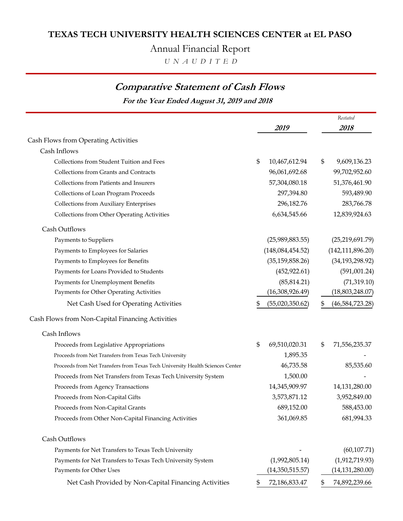Annual Financial Report

 *U N A U D I T E D*

## **Comparative Statement of Cash Flows**

**For the Year Ended August 31, 2019 and 2018**

|                                                                               | 2019                  | Restated<br>2018      |
|-------------------------------------------------------------------------------|-----------------------|-----------------------|
|                                                                               |                       |                       |
| Cash Flows from Operating Activities<br>Cash Inflows                          |                       |                       |
| Collections from Student Tuition and Fees                                     | \$<br>10,467,612.94   | \$<br>9,609,136.23    |
| Collections from Grants and Contracts                                         | 96,061,692.68         | 99,702,952.60         |
| Collections from Patients and Insurers                                        | 57,304,080.18         | 51,376,461.90         |
| Collections of Loan Program Proceeds                                          | 297,394.80            | 593,489.90            |
| Collections from Auxiliary Enterprises                                        | 296,182.76            | 283,766.78            |
| Collections from Other Operating Activities                                   | 6,634,545.66          | 12,839,924.63         |
| Cash Outflows                                                                 |                       |                       |
| Payments to Suppliers                                                         | (25,989,883.55)       | (25, 219, 691.79)     |
| Payments to Employees for Salaries                                            | (148, 084, 454.52)    | (142, 111, 896.20)    |
| Payments to Employees for Benefits                                            | (35, 159, 858.26)     | (34, 193, 298.92)     |
| Payments for Loans Provided to Students                                       | (452, 922.61)         | (591,001.24)          |
| Payments for Unemployment Benefits                                            | (85, 814.21)          | (71, 319.10)          |
| Payments for Other Operating Activities                                       | (16,308,926.49)       | (18,803,248.07)       |
| Net Cash Used for Operating Activities                                        | \$<br>(55,020,350.62) | \$<br>(46,584,723.28) |
| Cash Flows from Non-Capital Financing Activities                              |                       |                       |
| Cash Inflows                                                                  |                       |                       |
| Proceeds from Legislative Appropriations                                      | \$<br>69,510,020.31   | \$<br>71,556,235.37   |
| Proceeds from Net Transfers from Texas Tech University                        | 1,895.35              |                       |
| Proceeds from Net Transfers from Texas Tech University Health Sciences Center | 46,735.58             | 85,535.60             |
| Proceeds from Net Transfers from Texas Tech University System                 | 1,500.00              |                       |
| Proceeds from Agency Transactions                                             | 14,345,909.97         | 14,131,280.00         |
| Proceeds from Non-Capital Gifts                                               | 3,573,871.12          | 3,952,849.00          |
| Proceeds from Non-Capital Grants                                              | 689,152.00            | 588,453.00            |
| Proceeds from Other Non-Capital Financing Activities                          | 361,069.85            | 681,994.33            |
| Cash Outflows                                                                 |                       |                       |
| Payments for Net Transfers to Texas Tech University                           |                       | (60, 107.71)          |
| Payments for Net Transfers to Texas Tech University System                    | (1,992,805.14)        | (1,912,719.93)        |
| Payments for Other Uses                                                       | (14,350,515.57)       | (14, 131, 280.00)     |
| Net Cash Provided by Non-Capital Financing Activities                         | 72,186,833.47         | \$<br>74,892,239.66   |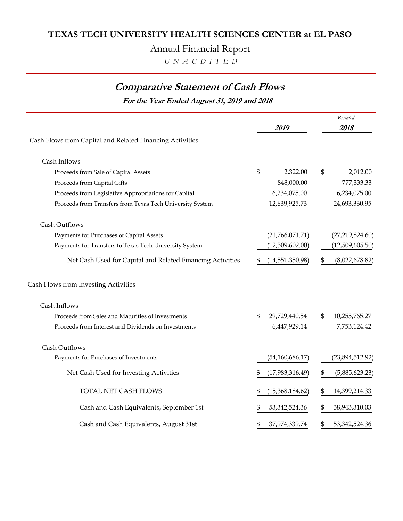Annual Financial Report

 *U N A U D I T E D*

## **Comparative Statement of Cash Flows**

**For the Year Ended August 31, 2019 and 2018**

| Cash Flows from Capital and Related Financing Activities   | 2019                | Restated<br>2018       |
|------------------------------------------------------------|---------------------|------------------------|
|                                                            |                     |                        |
| Cash Inflows                                               |                     |                        |
| Proceeds from Sale of Capital Assets                       | \$<br>2,322.00      | \$<br>2,012.00         |
| Proceeds from Capital Gifts                                | 848,000.00          | 777,333.33             |
| Proceeds from Legislative Appropriations for Capital       | 6,234,075.00        | 6,234,075.00           |
| Proceeds from Transfers from Texas Tech University System  | 12,639,925.73       | 24,693,330.95          |
| Cash Outflows                                              |                     |                        |
| Payments for Purchases of Capital Assets                   | (21,766,071.71)     | (27, 219, 824.60)      |
| Payments for Transfers to Texas Tech University System     | (12,509,602.00)     | (12,509,605.50)        |
| Net Cash Used for Capital and Related Financing Activities | (14, 551, 350.98)   | \$<br>(8,022,678.82)   |
| Cash Flows from Investing Activities                       |                     |                        |
| Cash Inflows                                               |                     |                        |
| Proceeds from Sales and Maturities of Investments          | \$<br>29,729,440.54 | \$<br>10,255,765.27    |
| Proceeds from Interest and Dividends on Investments        | 6,447,929.14        | 7,753,124.42           |
| Cash Outflows                                              |                     |                        |
| Payments for Purchases of Investments                      | (54, 160, 686.17)   | (23,894,512.92)        |
| Net Cash Used for Investing Activities                     | (17,983,316.49)     | \$<br>(5,885,623.23)   |
| TOTAL NET CASH FLOWS                                       | (15,368,184.62)     | \$<br>14,399,214.33    |
| Cash and Cash Equivalents, September 1st                   | 53, 342, 524. 36    | 38,943,310.03          |
| Cash and Cash Equivalents, August 31st                     | \$<br>37,974,339.74 | \$<br>53, 342, 524. 36 |